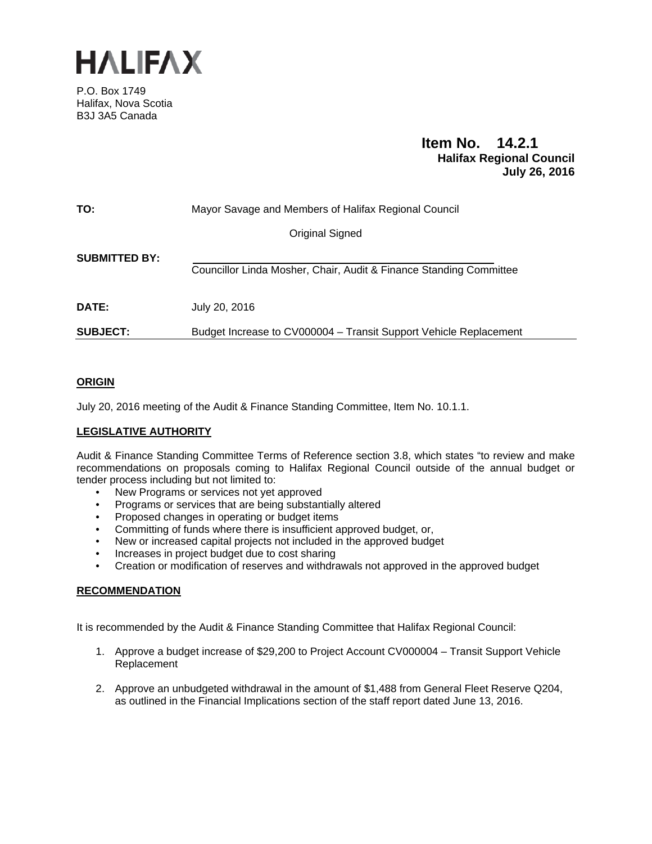

P.O. Box 1749 Halifax, Nova Scotia B3J 3A5 Canada

# **Item No. 14.2.1 Halifax Regional Council July 26, 2016**

| TO:                  | Mayor Savage and Members of Halifax Regional Council               |
|----------------------|--------------------------------------------------------------------|
|                      | Original Signed                                                    |
| <b>SUBMITTED BY:</b> | Councillor Linda Mosher, Chair, Audit & Finance Standing Committee |
| <b>DATE:</b>         | July 20, 2016                                                      |
| <b>SUBJECT:</b>      | Budget Increase to CV000004 – Transit Support Vehicle Replacement  |

# **ORIGIN**

July 20, 2016 meeting of the Audit & Finance Standing Committee, Item No. 10.1.1.

# **LEGISLATIVE AUTHORITY**

Audit & Finance Standing Committee Terms of Reference section 3.8, which states "to review and make recommendations on proposals coming to Halifax Regional Council outside of the annual budget or tender process including but not limited to:

- New Programs or services not yet approved
- Programs or services that are being substantially altered
- Proposed changes in operating or budget items
- Committing of funds where there is insufficient approved budget, or,
- New or increased capital projects not included in the approved budget
- Increases in project budget due to cost sharing
- Creation or modification of reserves and withdrawals not approved in the approved budget

# **RECOMMENDATION**

It is recommended by the Audit & Finance Standing Committee that Halifax Regional Council:

- 1. Approve a budget increase of \$29,200 to Project Account CV000004 Transit Support Vehicle Replacement
- 2. Approve an unbudgeted withdrawal in the amount of \$1,488 from General Fleet Reserve Q204, as outlined in the Financial Implications section of the staff report dated June 13, 2016.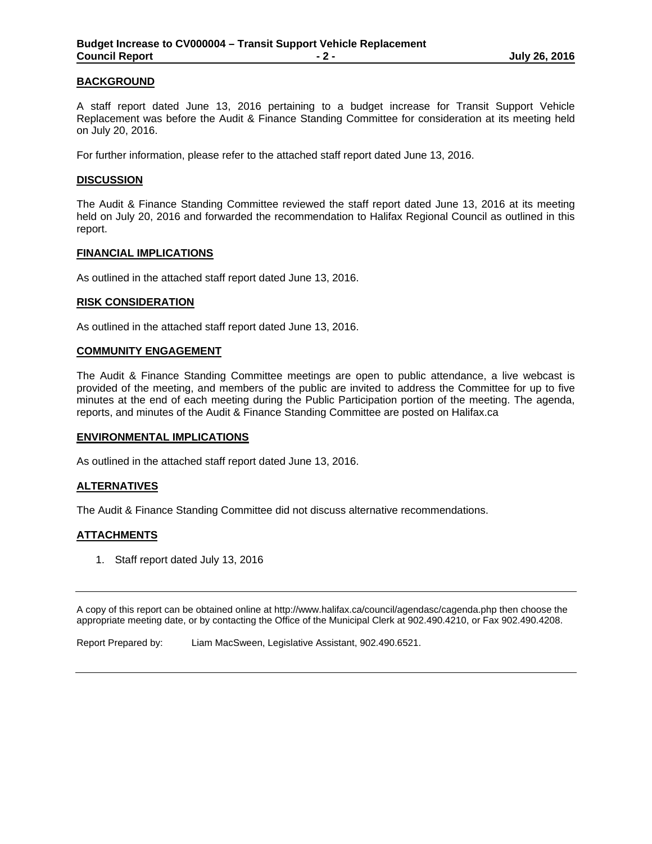## **BACKGROUND**

A staff report dated June 13, 2016 pertaining to a budget increase for Transit Support Vehicle Replacement was before the Audit & Finance Standing Committee for consideration at its meeting held on July 20, 2016.

For further information, please refer to the attached staff report dated June 13, 2016.

### **DISCUSSION**

The Audit & Finance Standing Committee reviewed the staff report dated June 13, 2016 at its meeting held on July 20, 2016 and forwarded the recommendation to Halifax Regional Council as outlined in this report.

#### **FINANCIAL IMPLICATIONS**

As outlined in the attached staff report dated June 13, 2016.

#### **RISK CONSIDERATION**

As outlined in the attached staff report dated June 13, 2016.

#### **COMMUNITY ENGAGEMENT**

The Audit & Finance Standing Committee meetings are open to public attendance, a live webcast is provided of the meeting, and members of the public are invited to address the Committee for up to five minutes at the end of each meeting during the Public Participation portion of the meeting. The agenda, reports, and minutes of the Audit & Finance Standing Committee are posted on Halifax.ca

#### **ENVIRONMENTAL IMPLICATIONS**

As outlined in the attached staff report dated June 13, 2016.

## **ALTERNATIVES**

The Audit & Finance Standing Committee did not discuss alternative recommendations.

## **ATTACHMENTS**

1. Staff report dated July 13, 2016

A copy of this report can be obtained online at http://www.halifax.ca/council/agendasc/cagenda.php then choose the appropriate meeting date, or by contacting the Office of the Municipal Clerk at 902.490.4210, or Fax 902.490.4208.

Report Prepared by: Liam MacSween, Legislative Assistant, 902.490.6521.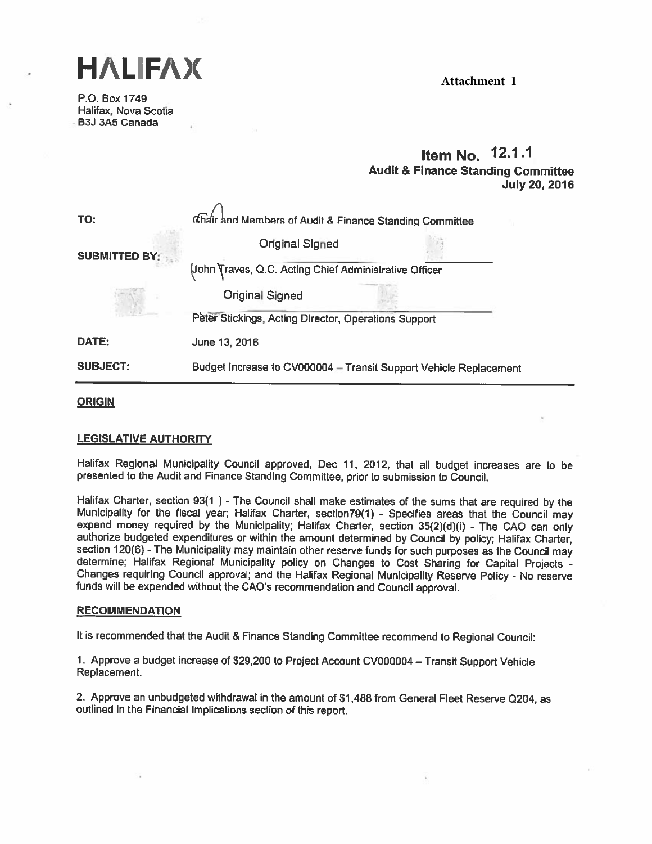HALIFAX

P.O. Box 1749 Halifax, Nova Scotia BSJ 3A5 Canada

**Attachment 1**

# Item No. 12.1.1 Audit & Finance Standing Commiftee July 20, 2016

| TO:                  | Chair and Members of Audit & Finance Standing Committee           |  |
|----------------------|-------------------------------------------------------------------|--|
| <b>SUBMITTED BY:</b> | <b>Original Signed</b>                                            |  |
|                      | (John Traves, Q.C. Acting Chief Administrative Officer            |  |
|                      | <b>Original Signed</b>                                            |  |
|                      | Peter Stickings, Acting Director, Operations Support              |  |
| DATE:                | June 13, 2016                                                     |  |
| <b>SUBJECT:</b>      | Budget Increase to CV000004 - Transit Support Vehicle Replacement |  |

## ORIGIN

## LEGISLATIVE AUTHORITY

Halifax Regional Municipality Council approved, Dec 11, 2012, that all budget increases are to be presented to the Audit and Finance Standing Committee, prior to submission to Council.

Halifax Charter, section 93(1) - The Council shall make estimates of the sums that are required by the Municipality for the fiscal year; Halifax Charter, section 79(1) - Specifies areas that the Council may expend money r determine; Halifax Regional Municipality policy on Changes to Cost Sharing for Capital Projects - Changes requiring Council approval; and the Halifax Regional Municipality Reserve Policy - No reserve funds will be expended

#### RECOMMENDATION

It is recommended that the Audit & Finance Standing Committee recommend to Regional Council:

1. Approve <sup>a</sup> budget increase of \$29,200 to Project Account CV000004 — Transit Support Vehicle Replacement.

2. Approve an unbudgeted withdrawal in the amount of \$1,488 from General Fleet Reserve Q204, as outlined in the Financial Implications section of this report.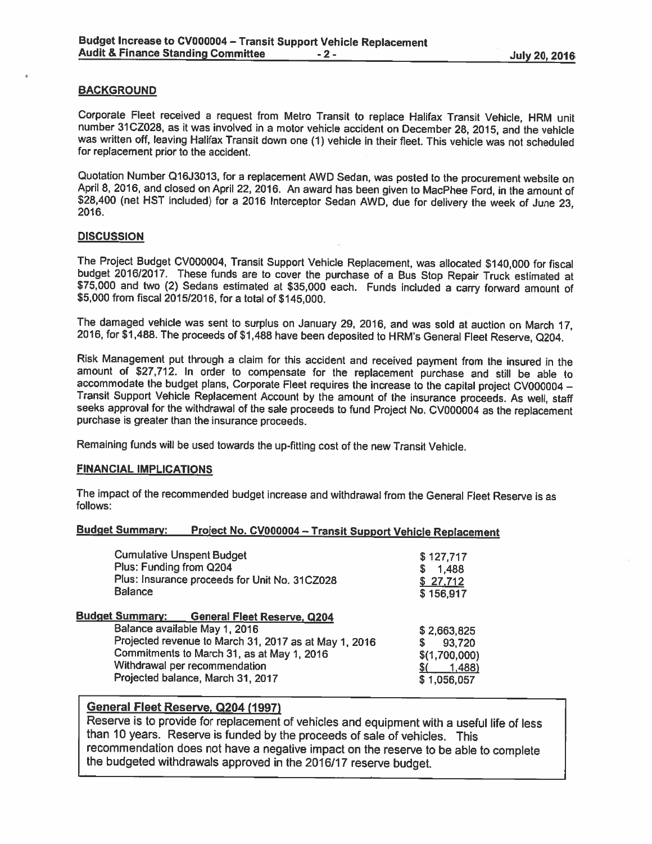## BACKGROUND

Corporate Fleet received a request from Metro Transit to replace Halifax Transit Vehicle, HRM unit<br>number 31CZ028, as it was involved in a motor vehicle accident on December 28, 2015, and the vehicle was written off, leaving Halifax Transit down one (1) vehicle in their fleet. This vehicle was not scheduled for replacement prior to the accident.

Quotation Number Q16J3013, for a replacement AWD Sedan, was posted to the procurement website on April 8, 2016, and closed on April 22, 2016. An award has been given to MacPhee Ford, in the amount of \$28,400 (net HST inclu

## **DISCUSSION**

The Project Budget CV000004, Transit Support Vehicle Replacement, was allocated \$140,000 for fiscal budget 2016/2017. These funds are to cover the purchase of a Bus Stop Repair Truck estimated at \$75,000 and two (2) Sedans

The damaged vehicle was sent to surplus on January 29, 2016, and was sold at auction on March 17, 2016, for \$1,488. The proceeds of \$1,488 have been deposited to HRM's General Fleet Reserve, Q204.

Risk Management put through a claim for this accident and received payment from the insured in the amount of \$27,712. In order to compensate for the replacement purchase and still be able to accommodate the budget plans, Corporate Fleet requires the increase to the capital project CV000004 – Transit Support Vehicle Replacement Account by the amount of the insurance proceeds. As well, staff seeks approval for t

Remaining funds will be used towards the up-fitting cost of the new Transit Vehicle.

## FINANCIAL IMPLICATIONS

The impact of the recommended budget increase and withdrawal from the General Fleet Reserve is as follows:

## Budget Summary: Project No. CV000004 - Transit Support Vehicle Replacement

| <b>Cumulative Unspent Budget</b><br>Plus: Funding from Q204<br>Plus: Insurance proceeds for Unit No. 31CZ028<br><b>Balance</b> | \$127,717<br>1,488<br>S<br>\$27,712<br>\$156,917 |
|--------------------------------------------------------------------------------------------------------------------------------|--------------------------------------------------|
| <b>Budget Summary: General Fleet Reserve, Q204</b>                                                                             |                                                  |
| Balance available May 1, 2016                                                                                                  | \$2,663,825                                      |
| Projected revenue to March 31, 2017 as at May 1, 2016                                                                          | \$<br>93,720                                     |
| Commitments to March 31, as at May 1, 2016                                                                                     | \$(1,700,000)                                    |
| Withdrawal per recommendation                                                                                                  | (1, 488)                                         |
| Projected balance, March 31, 2017                                                                                              | \$1,056,057                                      |
|                                                                                                                                |                                                  |

# General Fleet Reserve, Q204 (1997)

Reserve is to provide for replacement of vehicles and equipment with <sup>a</sup> useful life of less than <sup>10</sup> years. Reserve is funded by the proceeds of sale of vehicles. This recommendation does not have <sup>a</sup> negative impact on the reserve to be able to complete the budgeted withdrawals approved in the 2016/17 reserve budget.